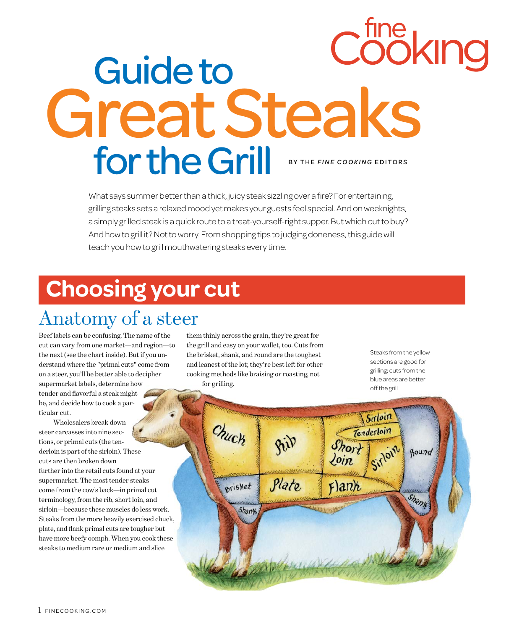# fine<br>Ooking Guide to Great Steaks for the Grill BY THE FINE COOKING EDITORS

What says summer better than a thick, juicy steak sizzling over a fire? For entertaining, grilling steaks sets a relaxed mood yet makes your guests feel special. And on weeknights, a simply grilled steak is a quick route to a treat-yourself-right supper. But which cut to buy? And how to grill it? Not to worry. From shopping tips to judging doneness, this guide will teach you how to grill mouthwatering steaks every time.

## **Choosing your cut**

### Anatomy of a steer

Beef labels can be confusing. The name of the cut can vary from one market—and region—to the next (see the chart inside). But if you understand where the "primal cuts" come from on a steer, you'll be better able to decipher supermarket labels, determine how

tender and flavorful a steak might be, and decide how to cook a particular cut.

Wholesalers break down steer carcasses into nine sections, or primal cuts (the tenderloin is part of the sirloin). These cuts are then broken down further into the retail cuts found at your supermarket. The most tender steaks come from the cow's back—in primal cut terminology, from the rib, short loin, and sirloin—because these muscles do less work. Steaks from the more heavily exercised chuck, plate, and flank primal cuts are tougher but have more beefy oomph. When you cook these steaks to medium rare or medium and slice

them thinly across the grain, they're great for the grill and easy on your wallet, too. Cuts from the brisket, shank, and round are the toughest and leanest of the lot; they're best left for other cooking methods like braising or roasting, not for grilling.

Steaks from the yellow sections are good for grilling; cuts from the blue areas are better off the grill.

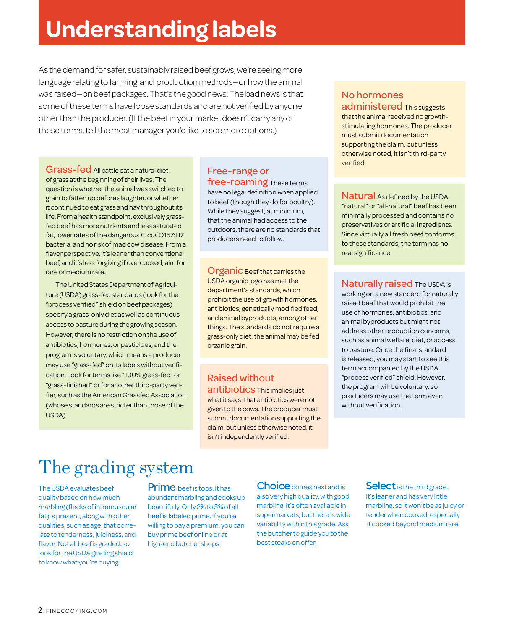## **Understanding labels**

As the demand for safer, sustainably raised beef grows, we're seeing more language relating to farming and production methods—or how the animal was raised—on beef packages. That's the good news. The bad news is that some of these terms have loose standards and are not verified by anyone other than the producer. (If the beef in your market doesn't carry any of these terms, tell the meat manager you'd like to see more options.)

Grass-fed All cattle eat a natural diet of grass at the beginning of their lives. The question is whether the animal was switched to grain to fatten up before slaughter, or whether it continued to eat grass and hay throughout its life. From a health standpoint, exclusively grassfed beef has more nutrients and less saturated fat, lower rates of the dangerous *E. coli* O157:H7 bacteria, and no risk of mad cow disease. From a flavor perspective, it's leaner than conventional beef, and it's less forgiving if overcooked; aim for rare or medium rare.

The United States Department of Agriculture (USDA) grass-fed standards (look for the "process verified" shield on beef packages) specify a grass-only diet as well as continuous access to pasture during the growing season. However, there is no restriction on the use of antibiotics, hormones, or pesticides, and the program is voluntary, which means a producer may use "grass-fed" on its labels without verification. Look for terms like "100% grass-fed" or "grass-finished" or for another third-party verifier, such as the American Grassfed Association (whose standards are stricter than those of the USDA).

#### Free-range or

free-roaming These terms have no legal definition when applied to beef (though they do for poultry). While they suggest, at minimum, that the animal had access to the outdoors, there are no standards that producers need to follow.

Organic Beef that carries the USDA organic logo has met the department's standards, which prohibit the use of growth hormones, antibiotics, genetically modified feed, and animal byproducts, among other things. The standards do not require a grass-only diet; the animal may be fed organic grain.

#### Raised without

antibiotics This implies just what it says: that antibiotics were not given to the cows. The producer must submit documentation supporting the claim, but unless otherwise noted, it isn't independently verified.

#### No hormones

administered This suggests that the animal received no growthstimulating hormones. The producer must submit documentation supporting the claim, but unless otherwise noted, it isn't third-party verified.

Natural As defined by the USDA, "natural" or "all-natural" beef has been minimally processed and contains no preservatives or artificial ingredients. Since virtually all fresh beef conforms to these standards, the term has no real significance.

Naturally raised The USDA is working on a new standard for naturally raised beef that would prohibit the use of hormones, antibiotics, and animal byproducts but might not address other production concerns, such as animal welfare, diet, or access to pasture. Once the final standard is released, you may start to see this term accompanied by the USDA "process verified" shield. However, the program will be voluntary, so producers may use the term even without verification.

### The grading system

The USDA evaluates beef quality based on how much marbling (flecks of intramuscular fat) is present, along with other qualities, such as age, that correlate to tenderness, juiciness, and flavor. Not all beef is graded, so look for the USDA grading shield to know what you're buying.

**Prime** beef is tops. It has abundant marbling and cooks up beautifully. Only 2% to 3% of all beef is labeled prime. If you're willing to pay a premium, you can buy prime beef online or at high-end butcher shops.

#### Choice comes next and is

also very high quality, with good marbling. It's often available in supermarkets, but there is wide variability within this grade. Ask the butcher to guide you to the best steaks on offer.

Select is the third grade. It's leaner and has very little marbling, so it won't be as juicy or tender when cooked, especially if cooked beyond medium rare.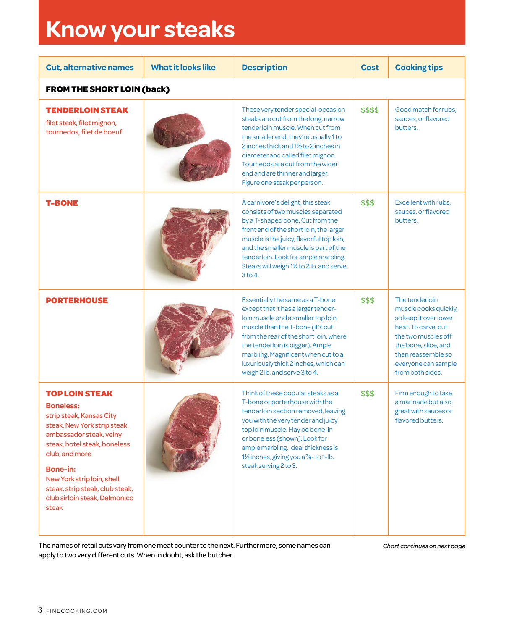## **Know your steaks**

| <b>Cut, alternative names</b>                                                                                                                                                                                                                                                                                    | <b>What it looks like</b> | <b>Description</b>                                                                                                                                                                                                                                                                                                                              | <b>Cost</b> | <b>Cooking tips</b>                                                                                                                                                                                     |
|------------------------------------------------------------------------------------------------------------------------------------------------------------------------------------------------------------------------------------------------------------------------------------------------------------------|---------------------------|-------------------------------------------------------------------------------------------------------------------------------------------------------------------------------------------------------------------------------------------------------------------------------------------------------------------------------------------------|-------------|---------------------------------------------------------------------------------------------------------------------------------------------------------------------------------------------------------|
| <b>FROM THE SHORT LOIN (back)</b>                                                                                                                                                                                                                                                                                |                           |                                                                                                                                                                                                                                                                                                                                                 |             |                                                                                                                                                                                                         |
| <b>TENDERLOIN STEAK</b><br>filet steak, filet mignon,<br>tournedos, filet de boeuf                                                                                                                                                                                                                               |                           | These very tender special-occasion<br>steaks are cut from the long, narrow<br>tenderloin muscle. When cut from<br>the smaller end, they're usually 1 to<br>2 inches thick and 1½ to 2 inches in<br>diameter and called filet mignon.<br>Tournedos are cut from the wider<br>end and are thinner and larger.<br>Figure one steak per person.     | \$\$\$\$    | Good match for rubs,<br>sauces, or flavored<br>butters.                                                                                                                                                 |
| <b>T-BONE</b>                                                                                                                                                                                                                                                                                                    |                           | A carnivore's delight, this steak<br>consists of two muscles separated<br>by a T-shaped bone. Cut from the<br>front end of the short loin, the larger<br>muscle is the juicy, flavorful top loin,<br>and the smaller muscle is part of the<br>tenderloin. Look for ample marbling.<br>Steaks will weigh 11/2 to 2 lb. and serve<br>$3$ to 4.    | \$\$\$      | Excellent with rubs,<br>sauces, or flavored<br>butters.                                                                                                                                                 |
| <b>PORTERHOUSE</b>                                                                                                                                                                                                                                                                                               |                           | Essentially the same as a T-bone<br>except that it has a larger tender-<br>loin muscle and a smaller top loin<br>muscle than the T-bone (it's cut<br>from the rear of the short loin, where<br>the tenderloin is bigger). Ample<br>marbling. Magnificent when cut to a<br>luxuriously thick 2 inches, which can<br>weigh 2lb. and serve 3 to 4. | \$\$\$      | The tenderloin<br>muscle cooks quickly,<br>so keep it over lower<br>heat. To carve, cut<br>the two muscles off<br>the bone, slice, and<br>then reassemble so<br>everyone can sample<br>from both sides. |
| <b>TOP LOIN STEAK</b><br><b>Boneless:</b><br>strip steak, Kansas City<br>steak, New York strip steak,<br>ambassador steak, veiny<br>steak, hotel steak, boneless<br>club, and more<br><b>Bone-in:</b><br>New York strip loin, shell<br>steak, strip steak, club steak,<br>club sirloin steak, Delmonico<br>steak |                           | Think of these popular steaks as a<br>T-bone or porterhouse with the<br>tenderloin section removed, leaving<br>you with the very tender and juicy<br>top loin muscle. May be bone-in<br>or boneless (shown). Look for<br>ample marbling. Ideal thickness is<br>1½ inches, giving you a 3⁄4- to 1-lb.<br>steak serving 2 to 3.                   | \$\$\$      | Firm enough to take<br>a marinade but also<br>great with sauces or<br>flavored butters.                                                                                                                 |

The names of retail cuts vary from one meat counter to the next. Furthermore, some names can apply to two very different cuts. When in doubt, ask the butcher.

*Chart continues on next page*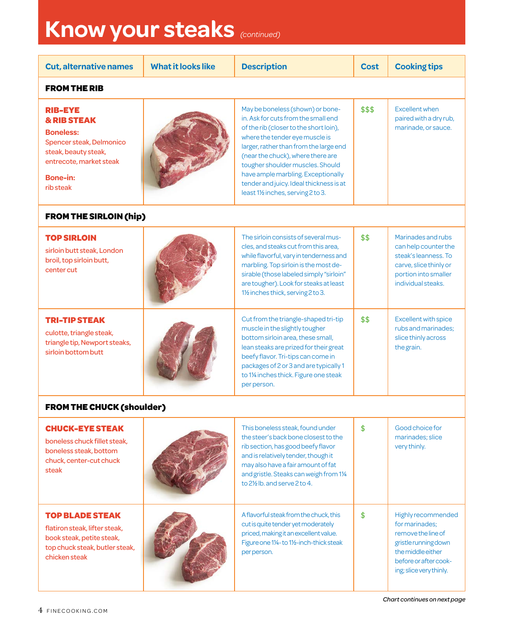## **Know your steaks** *(continued)*

| <b>Cut, alternative names</b>                                                                                                                                               | <b>What it looks like</b> | <b>Description</b>                                                                                                                                                                                                                                                                                                                                                                          | <b>Cost</b>            | <b>Cooking tips</b>                                                                                                                                         |
|-----------------------------------------------------------------------------------------------------------------------------------------------------------------------------|---------------------------|---------------------------------------------------------------------------------------------------------------------------------------------------------------------------------------------------------------------------------------------------------------------------------------------------------------------------------------------------------------------------------------------|------------------------|-------------------------------------------------------------------------------------------------------------------------------------------------------------|
| <b>FROM THE RIB</b>                                                                                                                                                         |                           |                                                                                                                                                                                                                                                                                                                                                                                             |                        |                                                                                                                                                             |
| <b>RIB-EYE</b><br><b>&amp; RIB STEAK</b><br><b>Boneless:</b><br>Spencer steak, Delmonico<br>steak, beauty steak,<br>entrecote, market steak<br><b>Bone-in:</b><br>rib steak |                           | May be boneless (shown) or bone-<br>in. Ask for cuts from the small end<br>of the rib (closer to the short loin),<br>where the tender eye muscle is<br>larger, rather than from the large end<br>(near the chuck), where there are<br>tougher shoulder muscles. Should<br>have ample marbling. Exceptionally<br>tender and juicy. Ideal thickness is at<br>least 1½ inches, serving 2 to 3. | \$\$\$                 | Excellent when<br>paired with a dry rub,<br>marinade, or sauce.                                                                                             |
| <b>FROM THE SIRLOIN (hip)</b>                                                                                                                                               |                           |                                                                                                                                                                                                                                                                                                                                                                                             |                        |                                                                                                                                                             |
| <b>TOP SIRLOIN</b><br>sirloin butt steak. London<br>broil, top sirloin butt,<br>center cut                                                                                  |                           | The sirloin consists of several mus-<br>cles, and steaks cut from this area,<br>while flavorful, vary in tenderness and<br>marbling. Top sirloin is the most de-<br>sirable (those labeled simply "sirloin"<br>are tougher). Look for steaks at least<br>1½ inches thick, serving 2 to 3.                                                                                                   | \$\$                   | Marinades and rubs<br>can help counter the<br>steak's leanness. To<br>carve, slice thinly or<br>portion into smaller<br>individual steaks.                  |
| <b>TRI-TIP STEAK</b><br>culotte, triangle steak,<br>triangle tip, Newport steaks,<br>sirloin bottom butt                                                                    |                           | Cut from the triangle-shaped tri-tip<br>muscle in the slightly tougher<br>bottom sirloin area, these small,<br>lean steaks are prized for their great<br>beefy flavor. Tri-tips can come in<br>packages of 2 or 3 and are typically 1<br>to 1¼ inches thick. Figure one steak<br>per person.                                                                                                | \$\$                   | Excellent with spice<br>rubs and marinades;<br>slice thinly across<br>the grain.                                                                            |
| <b>FROM THE CHUCK (shoulder)</b>                                                                                                                                            |                           |                                                                                                                                                                                                                                                                                                                                                                                             |                        |                                                                                                                                                             |
| <b>CHUCK-EYE STEAK</b><br>boneless chuck fillet steak,<br>boneless steak, bottom<br>chuck, center-cut chuck<br>steak                                                        |                           | This boneless steak, found under<br>the steer's back bone closest to the<br>rib section, has good beefy flavor<br>and is relatively tender, though it<br>may also have a fair amount of fat<br>and gristle. Steaks can weigh from 11/4<br>to 2½ lb, and serve 2 to 4.                                                                                                                       | $\boldsymbol{\hat{s}}$ | Good choice for<br>marinades; slice<br>very thinly.                                                                                                         |
| <b>TOP BLADE STEAK</b><br>flatiron steak, lifter steak,<br>book steak, petite steak,<br>top chuck steak, butler steak,<br>chicken steak                                     |                           | A flavorful steak from the chuck, this<br>cut is quite tender yet moderately<br>priced, making it an excellent value.<br>Figure one 1¼- to 1½-inch-thick steak<br>per person.                                                                                                                                                                                                               | \$                     | Highly recommended<br>for marinades;<br>remove the line of<br>gristle running down<br>the middle either<br>before or after cook-<br>ing; slice very thinly. |

*Chart continues on next page*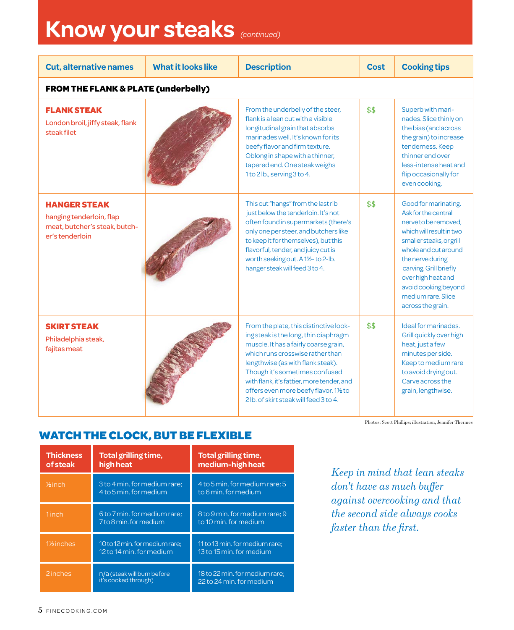## **Know your steaks** *(continued)*

| <b>Cut, alternative names</b>                                                                       | <b>What it looks like</b> | <b>Description</b>                                                                                                                                                                                                                                                                                                                                                  | <b>Cost</b> | <b>Cooking tips</b>                                                                                                                                                                                                                                                                        |
|-----------------------------------------------------------------------------------------------------|---------------------------|---------------------------------------------------------------------------------------------------------------------------------------------------------------------------------------------------------------------------------------------------------------------------------------------------------------------------------------------------------------------|-------------|--------------------------------------------------------------------------------------------------------------------------------------------------------------------------------------------------------------------------------------------------------------------------------------------|
| <b>FROM THE FLANK &amp; PLATE (underbelly)</b>                                                      |                           |                                                                                                                                                                                                                                                                                                                                                                     |             |                                                                                                                                                                                                                                                                                            |
| <b>FLANK STEAK</b><br>London broil, jiffy steak, flank<br>steak filet                               |                           | From the underbelly of the steer,<br>flank is a lean cut with a visible<br>longitudinal grain that absorbs<br>marinades well. It's known for its<br>beefy flavor and firm texture.<br>Oblong in shape with a thinner,<br>tapered end. One steak weighs<br>1 to 2 lb., serving 3 to 4.                                                                               | \$\$        | Superb with mari-<br>nades. Slice thinly on<br>the bias (and across<br>the grain) to increase<br>tenderness. Keep<br>thinner end over<br>less-intense heat and<br>flip occasionally for<br>even cooking.                                                                                   |
| <b>HANGER STEAK</b><br>hanging tenderloin, flap<br>meat, butcher's steak, butch-<br>er's tenderloin |                           | This cut "hangs" from the last rib<br>just below the tenderloin. It's not<br>often found in supermarkets (there's<br>only one per steer, and butchers like<br>to keep it for themselves), but this<br>flavorful, tender, and juicy cut is<br>worth seeking out. A 1½-to 2-lb.<br>hanger steak will feed 3 to 4.                                                     | \$\$        | Good for marinating.<br>Ask for the central<br>nerve to be removed.<br>which will result in two<br>smaller steaks, or grill<br>whole and cut around<br>the nerve during<br>carving. Grill briefly<br>over high heat and<br>avoid cooking beyond<br>medium rare. Slice<br>across the grain. |
| <b>SKIRT STEAK</b><br>Philadelphia steak,<br>fajitas meat                                           |                           | From the plate, this distinctive look-<br>ing steak is the long, thin diaphragm<br>muscle. It has a fairly coarse grain,<br>which runs crosswise rather than<br>lengthwise (as with flank steak).<br>Though it's sometimes confused<br>with flank, it's fattier, more tender, and<br>offers even more beefy flavor. 1½ to<br>2 lb. of skirt steak will feed 3 to 4. | \$\$        | Ideal for marinades.<br>Grill quickly over high<br>heat, just a few<br>minutes per side.<br>Keep to medium rare<br>to avoid drying out.<br>Carve across the<br>grain, lengthwise.                                                                                                          |

#### **WATCH THE CLOCK, BUT BE FLEXIBLE**

| <b>Thickness</b><br>of steak | Total grilling time,<br>high heat                          | Total grilling time,<br>medium-high heat                   |  |  |
|------------------------------|------------------------------------------------------------|------------------------------------------------------------|--|--|
| $1/2$ inch                   | 3 to 4 min. for medium rare;<br>$4$ to 5 min. for medium   | 4 to 5 min. for medium rare; 5<br>to 6 min. for medium     |  |  |
| 1 inch                       | 6 to 7 min. for medium rare;<br>7 to 8 min. for medium     | 8 to 9 min. for medium rare; 9<br>to 10 min. for medium    |  |  |
| 1% inches                    | 10 to 12 min. for medium rare;<br>12 to 14 min. for medium | 11 to 13 min. for medium rare;<br>13 to 15 min. for medium |  |  |
| 2 inches                     | n/a (steak will burn before<br>it's cooked through)        | 18 to 22 min. for medium rare;<br>22 to 24 min. for medium |  |  |

Photos: Scott Phillips; illustration, Jennifer Thermes

*Keep in mind that lean steaks don't have as much buffer against overcooking and that the second side always cooks faster than the first.*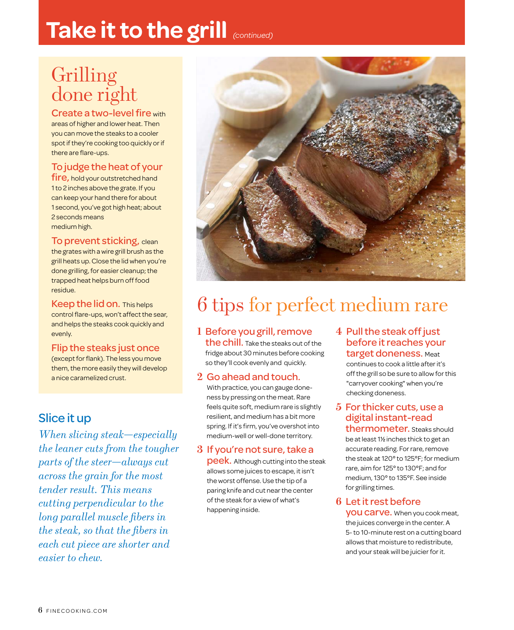## **Take it to the grill** *(continued)*

### Grilling done right

Create a two-level fire with areas of higher and lower heat. Then you can move the steaks to a cooler spot if they're cooking too quickly or if there are flare-ups.

#### To judge the heat of your

fire, hold your outstretched hand 1 to 2 inches above the grate. If you can keep your hand there for about 1 second, you've got high heat; about 2 seconds means medium high.

To prevent sticking, clean the grates with a wire grill brush as the grill heats up. Close the lid when you're done grilling, for easier cleanup; the trapped heat helps burn off food residue.

Keep the lid on. This helps control flare-ups, won't affect the sear, and helps the steaks cook quickly and evenly.

#### Flip the steaks just once

(except for flank). The less you move them, the more easily they will develop a nice caramelized crust.

#### Slice it up

*When slicing steak—especially the leaner cuts from the tougher parts of the steer—always cut across the grain for the most tender result. This means cutting perpendicular to the long parallel muscle fibers in the steak, so that the fibers in each cut piece are shorter and easier to chew.*



### 6 tips for perfect medium rare

#### **1** Before you grill, remove

the chill. Take the steaks out of the fridge about 30 minutes before cooking so they'll cook evenly and quickly.

#### **2** Go ahead and touch.

With practice, you can gauge doneness by pressing on the meat. Rare feels quite soft, medium rare is slightly resilient, and medium has a bit more spring. If it's firm, you've overshot into medium-well or well-done territory.

#### **3** If you're not sure, take a

peek. Although cutting into the steak allows some juices to escape, it isn't the worst offense. Use the tip of a paring knife and cut near the center of the steak for a view of what's happening inside.

**4** Pull the steak off just before it reaches your target doneness. Meat

continues to cook a little after it's off the grill so be sure to allow for this "carryover cooking" when you're checking doneness.

#### **5** For thicker cuts, use a digital instant-read thermometer. Steaks should be at least 11/2 inches thick to get an

accurate reading. For rare, remove the steak at 120° to 125°F; for medium rare, aim for 125° to 130°F; and for medium, 130° to 135°F. See inside for grilling times.

#### **6** Let it rest before

you carve. When you cook meat, the juices converge in the center. A 5- to 10-minute rest on a cutting board allows that moisture to redistribute, and your steak will be juicier for it.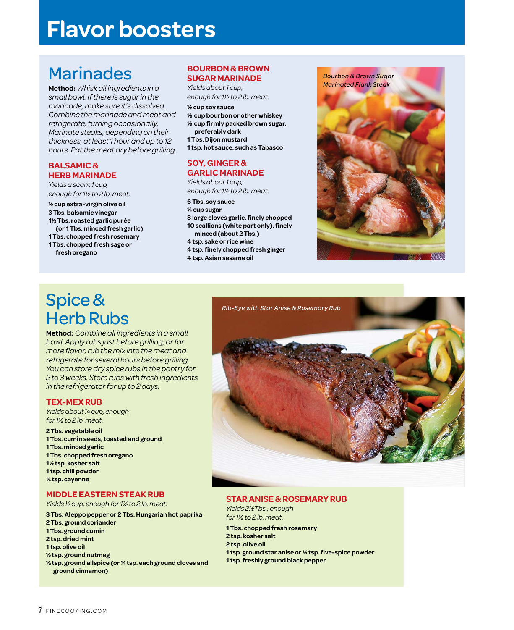### **Flavor boosters**

### **Marinades**

**Method:** *Whisk all ingredients in a small bowl. If there is sugar in the marinade, make sure it's dissolved. Combine the marinade and meat and refrigerate, turning occasionally. Marinate steaks, depending on their thickness, at least 1 hour and up to 12 hours. Pat the meat dry before grilling.*

#### **BALSAMIC & HERB MARINADE**

*Yields a scant 1 cup, enough for 1½ to 2 lb. meat.*

**1/2 cup extra-virgin olive oil 3 Tbs. balsamic vinegar 11/2 Tbs. roasted garlic purée** 

- **(or 1 Tbs. minced fresh garlic) 1 Tbs. chopped fresh rosemary**
- **1 Tbs. chopped fresh sage or fresh oregano**

#### **BOURBON & BROWN SUGAR MARINADE**

*Yields about 1 cup, enough for 1½ to 2 lb. meat.*

**½ cup soy sauce 1/3 cup bourbon or other whiskey 1/3 cup firmly packed brown sugar, preferably dark 1 Tbs. Dijon mustard**

**1 tsp. hot sauce, such as Tabasco**

#### **SOY, GINGER & GARLIC MARINADE**

*Yields about 1 cup, enough for 1½ to 2 lb. meat.* 

**6 Tbs. soy sauce 1/4 cup sugar 8 large cloves garlic, finely chopped 10 scallions (white part only), finely minced (about 2 Tbs.) 4 tsp. sake or rice wine 4 tsp. finely chopped fresh ginger 4 tsp. Asian sesame oil**



### Spice & Herb Rubs

**Method:** *Combine all ingredients in a small bowl. Apply rubs just before grilling, or for more flavor, rub the mix into the meat and refrigerate for several hours before grilling. You can store dry spice rubs in the pantry for 2 to 3 weeks. Store rubs with fresh ingredients in the refrigerator for up to 2 days.* 

#### **TEX-MEX RUB**

*Yields about ¼ cup, enough for 1½ to 2 lb. meat.*

**2 Tbs. vegetable oil 1 Tbs. cumin seeds, toasted and ground 1 Tbs. minced garlic 1 Tbs. chopped fresh oregano 11/2 tsp. kosher salt 1 tsp. chili powder 1/4 tsp. cayenne**

#### **MIDDLE EASTERN STEAK RUB**

*Yields ½ cup, enough for 1½ to 2 lb. meat.*

**3 Tbs. Aleppo pepper or 2 Tbs. Hungarian hot paprika 2 Tbs. ground coriander 1 Tbs. ground cumin 2 tsp. dried mint 1 tsp. olive oil 1/2 tsp. ground nutmeg 1/2 tsp. ground allspice (or 1/4 tsp. each ground cloves and ground cinnamon)**



#### **STAR ANISE & ROSEMARY RUB**

*Yields 2½Tbs., enough for 1½ to 2 lb. meat.* **1 Tbs. chopped fresh rosemary 2 tsp. kosher salt 2 tsp. olive oil 1 tsp. ground star anise or 1/2 tsp. five-spice powder 1 tsp. freshly ground black pepper**